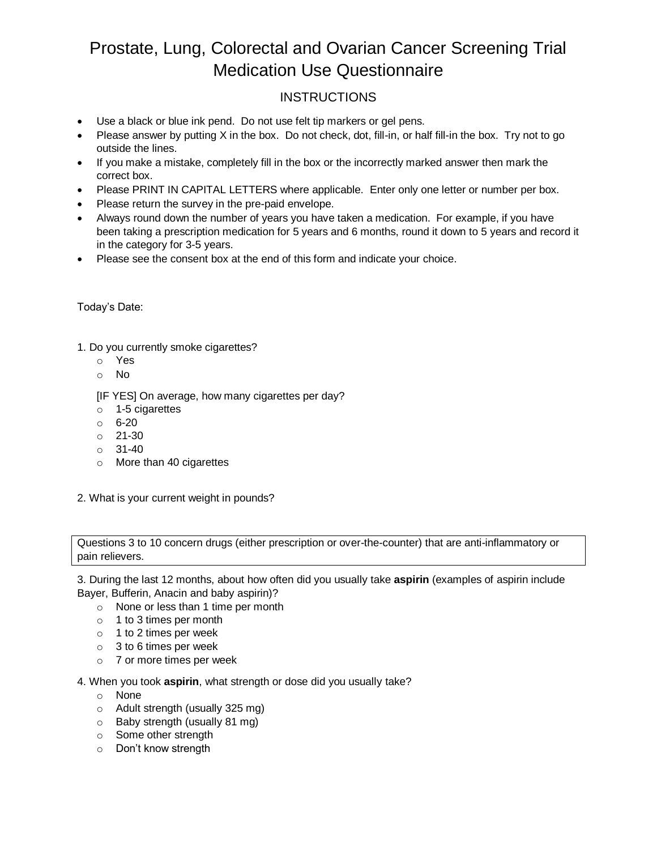# Prostate, Lung, Colorectal and Ovarian Cancer Screening Trial Medication Use Questionnaire

## **INSTRUCTIONS**

- Use a black or blue ink pend. Do not use felt tip markers or gel pens.
- Please answer by putting X in the box. Do not check, dot, fill-in, or half fill-in the box. Try not to go outside the lines.
- If you make a mistake, completely fill in the box or the incorrectly marked answer then mark the correct box.
- Please PRINT IN CAPITAL LETTERS where applicable. Enter only one letter or number per box.
- Please return the survey in the pre-paid envelope.
- Always round down the number of years you have taken a medication. For example, if you have been taking a prescription medication for 5 years and 6 months, round it down to 5 years and record it in the category for 3-5 years.
- Please see the consent box at the end of this form and indicate your choice.

### Today's Date:

- 1. Do you currently smoke cigarettes?
	- o Yes
	- o No

[IF YES] On average, how many cigarettes per day?

- o 1-5 cigarettes
- $\circ$  6-20
- o 21-30
- o 31-40
- o More than 40 cigarettes
- 2. What is your current weight in pounds?

Questions 3 to 10 concern drugs (either prescription or over-the-counter) that are anti-inflammatory or pain relievers.

3. During the last 12 months, about how often did you usually take **aspirin** (examples of aspirin include Bayer, Bufferin, Anacin and baby aspirin)?

- o None or less than 1 time per month
- o 1 to 3 times per month
- o 1 to 2 times per week
- $\circ$  3 to 6 times per week
- o 7 or more times per week
- 4. When you took **aspirin**, what strength or dose did you usually take?
	- o None
	- o Adult strength (usually 325 mg)
	- o Baby strength (usually 81 mg)
	- o Some other strength
	- o Don't know strength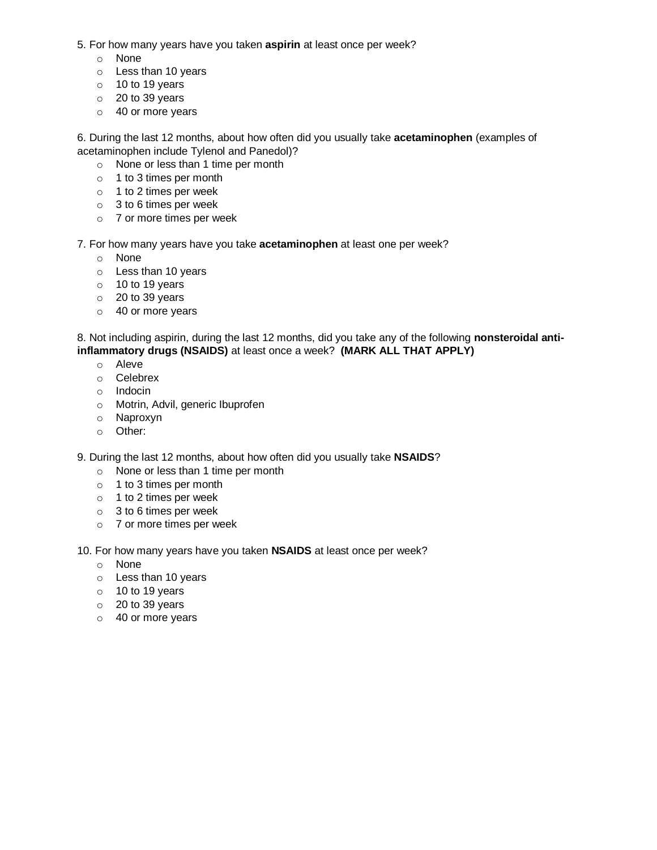- 5. For how many years have you taken **aspirin** at least once per week?
	- o None
	- o Less than 10 years
	- $\circ$  10 to 19 years
	- o 20 to 39 years
	- o 40 or more years

6. During the last 12 months, about how often did you usually take **acetaminophen** (examples of acetaminophen include Tylenol and Panedol)?

- o None or less than 1 time per month
- o 1 to 3 times per month
- o 1 to 2 times per week
- o 3 to 6 times per week
- o 7 or more times per week

7. For how many years have you take **acetaminophen** at least one per week?

- o None
- o Less than 10 years
- $\circ$  10 to 19 years
- o 20 to 39 years
- o 40 or more years

8. Not including aspirin, during the last 12 months, did you take any of the following **nonsteroidal antiinflammatory drugs (NSAIDS)** at least once a week? **(MARK ALL THAT APPLY)**

- o Aleve
- o Celebrex
- o Indocin
- o Motrin, Advil, generic Ibuprofen
- o Naproxyn
- o Other:

9. During the last 12 months, about how often did you usually take **NSAIDS**?

- o None or less than 1 time per month
- o 1 to 3 times per month
- o 1 to 2 times per week
- o 3 to 6 times per week
- o 7 or more times per week

10. For how many years have you taken **NSAIDS** at least once per week?

- o None
- o Less than 10 years
- o 10 to 19 years
- o 20 to 39 years
- o 40 or more years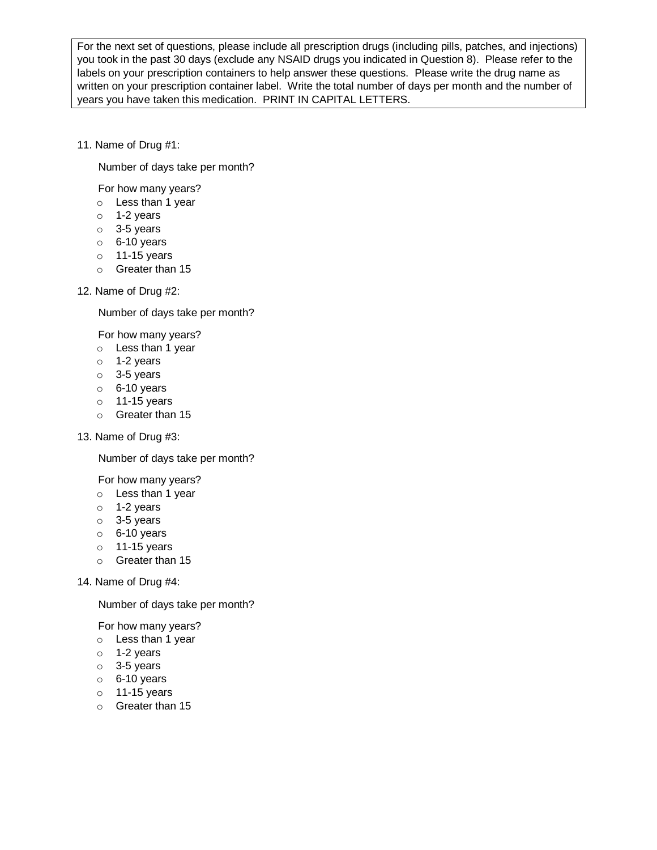For the next set of questions, please include all prescription drugs (including pills, patches, and injections) you took in the past 30 days (exclude any NSAID drugs you indicated in Question 8). Please refer to the labels on your prescription containers to help answer these questions. Please write the drug name as written on your prescription container label. Write the total number of days per month and the number of years you have taken this medication. PRINT IN CAPITAL LETTERS.

11. Name of Drug #1:

Number of days take per month?

For how many years?

- o Less than 1 year
- o 1-2 years
- $\circ$  3-5 years
- $\circ$  6-10 years
- $o$  11-15 years
- o Greater than 15
- 12. Name of Drug #2:

Number of days take per month?

For how many years?

- o Less than 1 year
- o 1-2 years
- o 3-5 years
- $\circ$  6-10 years
- $o$  11-15 years
- o Greater than 15
- 13. Name of Drug #3:

Number of days take per month?

For how many years?

- o Less than 1 year
- o 1-2 years
- o 3-5 years
- $\circ$  6-10 years
- $\circ$  11-15 years
- o Greater than 15
- 14. Name of Drug #4:

Number of days take per month?

For how many years?

- o Less than 1 year
- o 1-2 years
- o 3-5 years
- $\circ$  6-10 years
- $o$  11-15 years
- o Greater than 15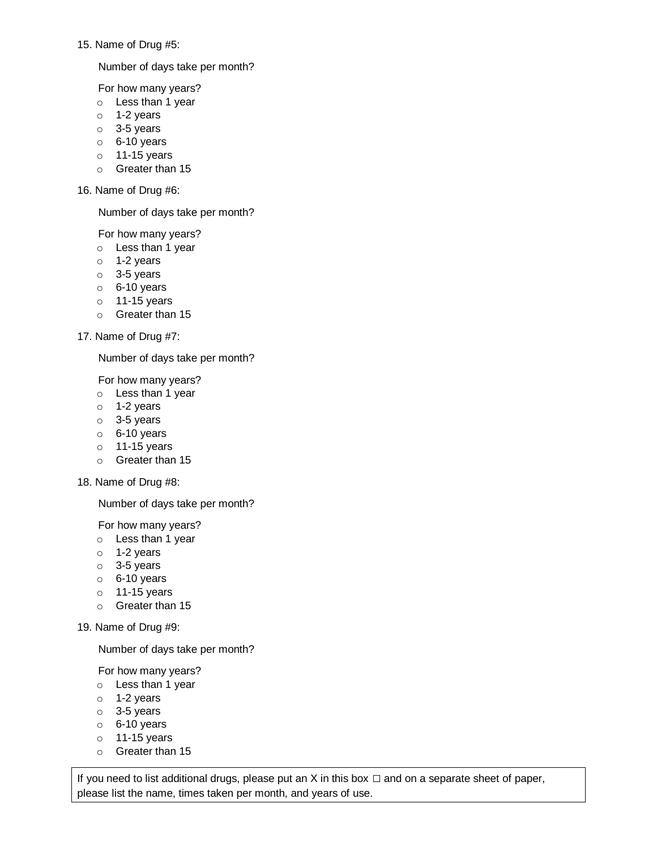#### 15. Name of Drug #5:

Number of days take per month?

For how many years?

- o Less than 1 year
- o 1-2 years
- o 3-5 years
- o 6-10 years
- $\circ$  11-15 years
- o Greater than 15
- 16. Name of Drug #6:

Number of days take per month?

For how many years?

- o Less than 1 year
- o 1-2 years
- o 3-5 years
- o 6-10 years
- $o$  11-15 years
- o Greater than 15
- 17. Name of Drug #7:

Number of days take per month?

For how many years?

- o Less than 1 year
- o 1-2 years
- $\circ$  3-5 years
- $\circ$  6-10 years
- $o$  11-15 years
- o Greater than 15
- 18. Name of Drug #8:

Number of days take per month?

For how many years?

- o Less than 1 year
- o 1-2 years
- o 3-5 years
- $\circ$  6-10 years
- $\circ$  11-15 years
- o Greater than 15

19. Name of Drug #9:

Number of days take per month?

For how many years?

- o Less than 1 year
- o 1-2 years
- o 3-5 years
- $\circ$  6-10 years
- $\circ$  11-15 years
- o Greater than 15

If you need to list additional drugs, please put an X in this box  $\Box$  and on a separate sheet of paper, please list the name, times taken per month, and years of use.